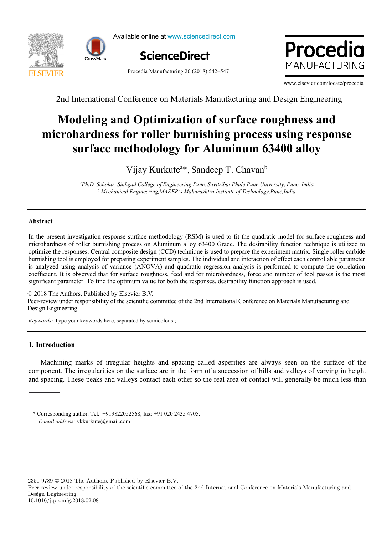



Available online at www.sciencedirect.com ScienceDirect l<mark>line at www</mark>.sciencedir



Procedia Manufacturing 20 (2018) 542–547

Procedia MANUFACTURING

www.elsevier.com/locate/procedia

2nd International Conference on Materials Manufacturing and Design Engineering 2nd International Conference on Materials Manufacturing and Design Engineering

## Manufacturing Engineering Society International Conference 2017, MESIC 2017, 28-30 June **microhardness for roller burnishing process using response**  naruncss for Toner burnisming process using res **Modeling and Optimization of surface roughness and Modeling and Optimization of surface roughness and microhardness for roller burnishing process using response surface methodology for Aluminum 63400 alloy**

 $\mathbf{V}^{\prime\prime}$   $\mathbf{V}$  1.4<sup>3</sup>  $\mathbf{C}$  1.7 $\mathbf{C}^{\prime\prime}$  b  $\mathbf{v}$  and  $\mathbf{v}$  and  $\mathbf{v}$  and  $\mathbf{v}$  and  $\mathbf{v}$  and  $\mathbf{v}$  and  $\mathbf{v}$  and  $\mathbf{v}$  and  $\mathbf{v}$  and  $\mathbf{v}$  and  $\mathbf{v}$  and  $\mathbf{v}$  and  $\mathbf{v}$  and  $\mathbf{v}$  and  $\mathbf{v}$  and  $\mathbf{v}$  and  $\mathbf{v}$  and Vijay Kurkutea \*, Sandeep T. Chavanb Vijay Kurkute<sup>a\*</sup>, Sandeep T. Chavan<sup>b</sup>

Mechanical Engineering,MAEER's Maharashtra Institute of Technology,Pune,India <sup>2</sup> er<br>Ph.D. Scholar, Sinhgad College of Engineering Pune, Savitribai Phule Pune University, Pune, India<br>b Machanical Engineering MAEER's Maharashtra Institute of Tachnology Pune India

 *University of Minho, 4800-058 Guimarães, Portugal b*

#### **Abstract**

In the present investigation response surface methodology (RSM) is used to fit the quadratic model for surface roughness and microhardness of roller burnishing process on Aluminum alloy 63400 Grade. The desirability functi is analyzed using analysis of variance (ANOVA) and quadratic regression analysis is performed to compute the correlation coefficient. It is observed that for surface roughness, feed and for microhardness, force and number of tool passes is the most significant parameter. To find the optimum value for both the responses, desirability function approach is used. In the present investigation response surface methodology (RSM) is used to fit the quadratic model for surface roughness and microhardness of roller burnishing process on Aluminum alloy 63400 Grade. The desirability function technique is utilized to burnishing tool is employed for preparing experiment samples. The individual and interaction of effect each controllable parameter

© 2018 The Authors. Published by Elsevier B.V. C 2016 The Additions. Fubrished by Elsevier B.V.<br>Peer-review under responsibility of the scientific committee of the 2nd International Conference on Materials Manufacturing and Design Engineering.<br>
Manufacturing and discusses a mathematical perspective and discusses a mathematical perspectives. Leci-Teview under responsionly of the selemn<br>Design Engineering  $\odot$  2018 The Authors. Published by Elsevier B.V.<br>Deep review under recognishing of the colonities commit Peer-review under responsibility of the scientific committee of the 2nd International Conference on Materials Manufacturing at

 $$ *Keywords:* Type your keywords here, separated by semicolons ; *Keywords:* Type your keywords here, separated by semicolons ;

*a*

# **1. Introduction**

Machining marks of irregular heights and spacing called asperities are always seen on the surface of the component. The irregularities on the surface are in the form of a succession of hills and valleys of varying in height and spacing. These peaks and valleys contact each other so the real area of contact will generally be much less than

value. The trade-off capacity maximization vs operational efficiency is highlighted and it is shown that capacity

2351-9789 © 2018 The Authors. Published by Elsevier B.V.

Peer-review under responsibility of the scientific committee of the 2nd International Conference on Materials Manufacturing and Design Engineering. 10.1016/j.promfg.2018.02.081

E-mail address: vkkurkute@gmail.com \* Corresponding author. Tel.: +919822052568; fax: +91 020 2435 4705.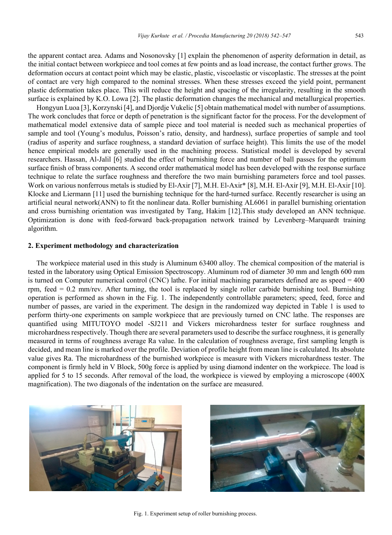the apparent contact area. Adams and Nosonovsky [1] explain the phenomenon of asperity deformation in detail, as the initial contact between workpiece and tool comes at few points and as load increase, the contact further grows. The deformation occurs at contact point which may be elastic, plastic, viscoelastic or viscoplastic. The stresses at the point of contact are very high compared to the nominal stresses. When these stresses exceed the yield point, permanent plastic deformation takes place. This will reduce the height and spacing of the irregularity, resulting in the smooth surface is explained by K.O. Lowa [2]. The plastic deformation changes the mechanical and metallurgical properties.

Hongyun Luoa [3], Korzynski [4], and Djordje Vukelic [5] obtain mathematical model with number of assumptions. The work concludes that force or depth of penetration is the significant factor for the process. For the development of mathematical model extensive data of sample piece and tool material is needed such as mechanical properties of sample and tool (Young's modulus, Poisson's ratio, density, and hardness), surface properties of sample and tool (radius of asperity and surface roughness, a standard deviation of surface height). This limits the use of the model hence empirical models are generally used in the machining process. Statistical model is developed by several researchers. Hassan, Al-Jalil [6] studied the effect of burnishing force and number of ball passes for the optimum surface finish of brass components. A second order mathematical model has been developed with the response surface technique to relate the surface roughness and therefore the two main burnishing parameters force and tool passes. Work on various nonferrous metals is studied by El-Axir [7], M.H. El-Axir\* [8], M.H. El-Axir [9], M.H. El-Axir [10]. Klocke and Liermann [11] used the burnishing technique for the hard-turned surface. Recently researcher is using an artificial neural network(ANN) to fit the nonlinear data. Roller burnishing AL6061 in parallel burnishing orientation and cross burnishing orientation was investigated by Tang, Hakim [12].This study developed an ANN technique. Optimization is done with feed-forward back-propagation network trained by Levenberg–Marquardt training algorithm.

#### **2. Experiment methodology and characterization**

The workpiece material used in this study is Aluminum 63400 alloy. The chemical composition of the material is tested in the laboratory using Optical Emission Spectroscopy. Aluminum rod of diameter 30 mm and length 600 mm is turned on Computer numerical control (CNC) lathe. For initial machining parameters defined are as speed = 400 rpm, feed = 0.2 mm/rev. After turning, the tool is replaced by single roller carbide burnishing tool. Burnishing operation is performed as shown in the Fig. 1. The independently controllable parameters; speed, feed, force and number of passes, are varied in the experiment. The design in the randomized way depicted in Table 1 is used to perform thirty-one experiments on sample workpiece that are previously turned on CNC lathe. The responses are quantified using MITUTOYO model -SJ211 and Vickers microhardness tester for surface roughness and microhardness respectively. Though there are several parameters used to describe the surface roughness, it is generally measured in terms of roughness average Ra value. In the calculation of roughness average, first sampling length is decided, and mean line is marked over the profile. Deviation of profile height from mean line is calculated. Its absolute value gives Ra. The microhardness of the burnished workpiece is measure with Vickers microhardness tester. The component is firmly held in V Block, 500g force is applied by using diamond indenter on the workpiece. The load is applied for 5 to 15 seconds. After removal of the load, the workpiece is viewed by employing a microscope (400X magnification). The two diagonals of the indentation on the surface are measured.





Fig. 1. Experiment setup of roller burnishing process.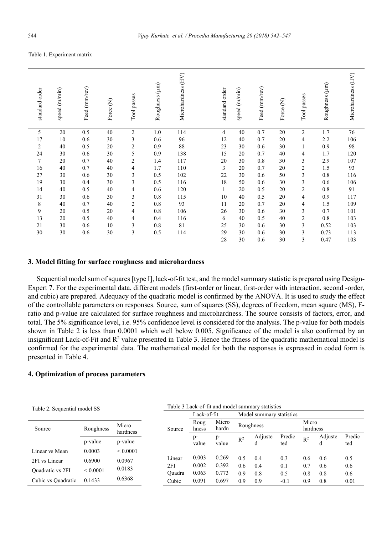#### Table 1. Experiment matrix

| standard order | speed (m/min) | Feed (mm/rev) | Force (N) | Tool passes    | Roughness (µm) | Microhardness (HV) | standard order | speed (m/min) | Feed (mm/rev) | $\epsilon$<br>Force | Tool passes    | Roughness (µm) | Microhardness (HV) |
|----------------|---------------|---------------|-----------|----------------|----------------|--------------------|----------------|---------------|---------------|---------------------|----------------|----------------|--------------------|
| 5              | 20            | 0.5           | 40        | $\overline{c}$ | $1.0\,$        | 114                | 4              | 40            | 0.7           | 20                  | $\overline{c}$ | 1.7            | 76                 |
| 17             | 10            | 0.6           | 30        | 3              | 0.6            | 96                 | 12             | 40            | 0.7           | 20                  | $\overline{4}$ | 2.2            | 106                |
| $\overline{c}$ | 40            | 0.5           | 20        | $\mathbf{2}$   | 0.9            | 88                 | 23             | 30            | 0.6           | 30                  | $\mathbf{1}$   | 0.9            | 98                 |
| 24             | 30            | 0.6           | 30        | 5              | 0.9            | 138                | 15             | 20            | 0.7           | 40                  | $\overline{4}$ | 1.7            | 120                |
| $\tau$         | 20            | 0.7           | 40        | $\mathbf{2}$   | 1.4            | 117                | 20             | 30            | 0.8           | 30                  | 3              | 2.9            | 107                |
| 16             | 40            | 0.7           | 40        | 4              | 1.7            | 110                | 3              | 20            | 0.7           | 20                  | $\sqrt{2}$     | 1.5            | 93                 |
| 27             | 30            | 0.6           | 30        | $\mathfrak{Z}$ | 0.5            | 102                | 22             | 30            | 0.6           | 50                  | $\mathfrak z$  | 0.8            | 116                |
| 19             | 30            | 0.4           | 30        | $\mathfrak{Z}$ | 0.5            | 116                | 18             | 50            | 0.6           | 30                  | $\mathfrak z$  | 0.6            | 106                |
| 14             | 40            | 0.5           | 40        | 4              | 0.6            | 120                | $\mathbf{1}$   | 20            | 0.5           | 20                  | $\overline{c}$ | 0.8            | 91                 |
| 31             | 30            | 0.6           | 30        | 3              | 0.8            | 115                | 10             | 40            | 0.5           | 20                  | 4              | 0.9            | 117                |
| 8              | 40            | 0.7           | 40        | $\overline{2}$ | 0.8            | 93                 | 11             | 20            | 0.7           | 20                  | 4              | 1.5            | 109                |
| 9              | 20            | 0.5           | 20        | 4              | 0.8            | 106                | 26             | 30            | 0.6           | 30                  | 3              | 0.7            | 101                |
| 13             | 20            | 0.5           | 40        | 4              | 0.4            | 116                | 6              | 40            | 0.5           | 40                  | $\overline{2}$ | 0.8            | 103                |
| 21             | 30            | 0.6           | 10        | 3              | 0.8            | 81                 | 25             | 30            | 0.6           | 30                  | 3              | 0.52           | 103                |
| 30             | 30            | 0.6           | 30        | $\overline{3}$ | 0.5            | 114                | 29             | 30            | 0.6           | 30                  | 3              | 0.73           | 113                |
|                |               |               |           |                |                |                    | 28             | 30            | 0.6           | 30                  | 3              | 0.47           | 103                |

#### **3. Model fitting for surface roughness and microhardness**

Sequential model sum of squares [type I], lack-of-fit test, and the model summary statistic is prepared using Design-Expert 7. For the experimental data, different models (first-order or linear, first-order with interaction, second -order, and cubic) are prepared. Adequacy of the quadratic model is confirmed by the ANOVA. It is used to study the effect of the controllable parameters on responses. Source, sum of squares (SS), degrees of freedom, mean square (MS), Fratio and p-value are calculated for surface roughness and microhardness. The source consists of factors, error, and total. The 5% significance level, i.e. 95% confidence level is considered for the analysis. The p-value for both models shown in Table 2 is less than 0.0001 which well below 0.005. Significance of the model is also confirmed by an insignificant Lack-of-Fit and  $R^2$  value presented in Table 3. Hence the fitness of the quadratic mathematical model is confirmed for the experimental data. The mathematical model for both the responses is expressed in coded form is presented in Table 4.

### **4. Optimization of process parameters**

Table 2. Sequential model SS

| Source             | Roughness     | Micro<br>hardness |  |  |
|--------------------|---------------|-------------------|--|--|
|                    | p-value       | p-value           |  |  |
| Linear vs Mean     | 0.0003        | < 0.0001          |  |  |
| 2FI vs Linear      | 0.6900        | 0.0967            |  |  |
| Quadratic vs 2FI   | ${}_{0.0001}$ | 0.0183            |  |  |
| Cubic vs Quadratic | 0.1433        | 0.6368            |  |  |

Table 3 Lack-of-fit and model summary statistics

|        | Lack-of-fit   |                |                       | Model summary statistics |               |                   |              |               |  |
|--------|---------------|----------------|-----------------------|--------------------------|---------------|-------------------|--------------|---------------|--|
| Source | Roug<br>hness | Micro<br>hardn |                       | Roughness                |               | Micro<br>hardness |              |               |  |
|        | p-<br>value   | p-<br>value    | Adjuste<br>$R^2$<br>d |                          | Predic<br>ted | $R^2$             | Adjuste<br>d | Predic<br>ted |  |
|        |               |                |                       |                          |               |                   |              |               |  |
| Linear | 0.003         | 0.269          | 0.5                   | 0.4                      | 0.3           | 0.6               | 0.6          | 0.5           |  |
| 2FI    | 0.002         | 0.392          | $0.6^{\circ}$         | 0.4                      | 0.1           | 0.7               | 0.6          | 0.6           |  |
| Ouadra | 0.063         | 0.773          | 0.9                   | 0.8                      | 0.5           | 0.8               | 0.8          | 0.6           |  |
| Cubic  | 0.091         | 0.697          | 0.9                   | 0.9                      | $-0.1$        | 0.9               | 0.8          | 0.01          |  |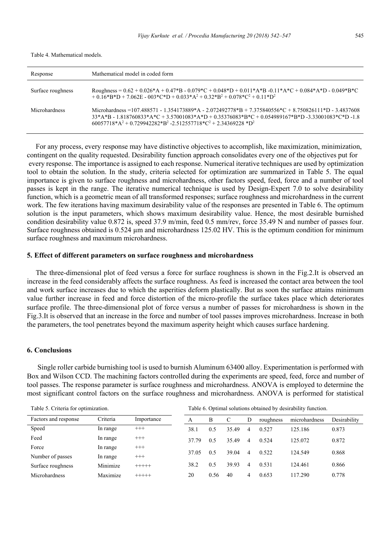| Response          | Mathematical model in coded form                                                                                                                                                                                                                                                     |
|-------------------|--------------------------------------------------------------------------------------------------------------------------------------------------------------------------------------------------------------------------------------------------------------------------------------|
| Surface roughness | Roughness = $0.62 + 0.026*A + 0.47*B - 0.079*C + 0.048*D + 0.011*A*B - 0.11*A*C + 0.084*A*D - 0.049*B*C$<br>$+0.16*B*B + 7.062E - 003*C*D + 0.033*A^2 + 0.32*B^2 + 0.078*C^2 + 0.11*D^2$                                                                                             |
| Microhardness     | Microhardness = 107.488571 - 1.354173889*A - 2.072492778*B + 7.375840556*C + 8.750826111*D - 3.4837608<br>$33*A*B - 1.818760833*A*C + 3.57001083*A*D + 0.35376083*B*C + 0.054989167*B*D -3.33001083*C*D -1.8$<br>$60057718*A^2 + 0.729942282*B^2 - 2.512557718*C^2 + 2.34369228*B^2$ |

For any process, every response may have distinctive objectives to accomplish, like maximization, minimization, contingent on the quality requested. Desirability function approach consolidates every one of the objectives put for every response. The importance is assigned to each response. Numerical iterative techniques are used by optimization tool to obtain the solution. In the study, criteria selected for optimization are summarized in Table 5. The equal importance is given to surface roughness and microhardness, other factors speed, feed, force and a number of tool passes is kept in the range. The iterative numerical technique is used by Design-Expert 7.0 to solve desirability function, which is a geometric mean of all transformed responses; surface roughness and microhardness in the current work. The few iterations having maximum desirability value of the responses are presented in Table 6. The optimum solution is the input parameters, which shows maximum desirability value. Hence, the most desirable burnished condition desirability value 0.872 is, speed 37.9 m/min, feed 0.5 mm/rev, force 35.49 N and number of passes four. Surface roughness obtained is 0.524 µm and microhardness 125.02 HV. This is the optimum condition for minimum surface roughness and maximum microhardness.

## **5. Effect of different parameters on surface roughness and microhardness**

The three-dimensional plot of feed versus a force for surface roughness is shown in the Fig.2.It is observed an increase in the feed considerably affects the surface roughness. As feed is increased the contact area between the tool and work surface increases due to which the asperities deform plastically. But as soon the surface attains minimum value further increase in feed and force distortion of the micro-profile the surface takes place which deteriorates surface profile. The three-dimensional plot of force versus a number of passes for microhardness is shown in the Fig.3.It is observed that an increase in the force and number of tool passes improves microhardness. Increase in both the parameters, the tool penetrates beyond the maximum asperity height which causes surface hardening.

#### **6. Conclusions**

 Single roller carbide burnishing tool is used to burnish Aluminum 63400 alloy. Experimentation is performed with Box and Wilson CCD. The machining factors controlled during the experiments are speed, feed, force and number of tool passes. The response parameter is surface roughness and microhardness. ANOVA is employed to determine the most significant control factors on the surface roughness and microhardness. ANOVA is performed for statistical

| Table 5. Criteria for optimization. |          | Table 6. Optimal solutions obtained by desirability function. |       |      |       |                |           |               |              |  |
|-------------------------------------|----------|---------------------------------------------------------------|-------|------|-------|----------------|-----------|---------------|--------------|--|
| Criteria<br>Factors and response    |          | Importance                                                    | А     | B    |       | D              | roughness | microhardness | Desirability |  |
| Speed                               | In range | $^{+++}$                                                      | 38.1  | 0.5  | 35.49 | 4              | 0.527     | 125.186       | 0.873        |  |
| Feed                                | In range | $^{+++}$                                                      | 37.79 | 0.5  | 35.49 | 4              | 0.524     | 125.072       | 0.872        |  |
| Force                               | In range | $^{+++}$                                                      |       |      |       |                |           |               |              |  |
| Number of passes                    | In range | $^{+++}$                                                      | 37.05 | 0.5  | 39.04 | $\overline{4}$ | 0.522     | 124.549       | 0.868        |  |
| Surface roughness                   | Minimize | $+++++$                                                       | 38.2  | 0.5  | 39.93 | 4              | 0.531     | 124.461       | 0.866        |  |
| <b>Microhardness</b>                | Maximize | $+++++$                                                       | 20    | 0.56 | 40    | 4              | 0.653     | 117.290       | 0.778        |  |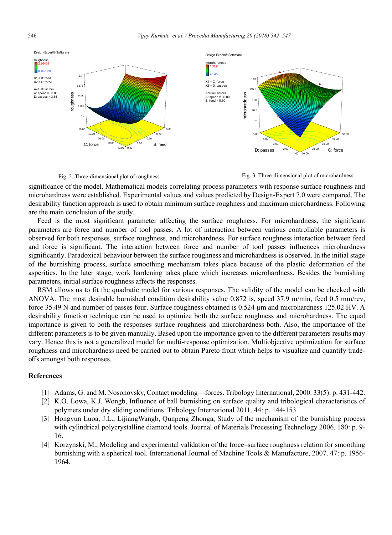



Fig. 2. Three-dimensional plot of roughness Fig. 3. Three-dimensional plot of microhardness

significance of the model. Mathematical models correlating process parameters with response surface roughness and microhardness were established. Experimental values and values predicted by Design-Expert 7.0 were compared. The desirability function approach is used to obtain minimum surface roughness and maximum microhardness. Following are the main conclusion of the study.

Feed is the most significant parameter affecting the surface roughness. For microhardness, the significant parameters are force and number of tool passes. A lot of interaction between various controllable parameters is observed for both responses, surface roughness, and microhardness. For surface roughness interaction between feed and force is significant. The interaction between force and number of tool passes influences microhardness significantly. Paradoxical behaviour between the surface roughness and microhardness is observed. In the initial stage of the burnishing process, surface smoothing mechanism takes place because of the plastic deformation of the asperities. In the later stage, work hardening takes place which increases microhardness. Besides the burnishing parameters, initial surface roughness affects the responses.

RSM allows us to fit the quadratic model for various responses. The validity of the model can be checked with ANOVA. The most desirable burnished condition desirability value 0.872 is, speed 37.9 m/min, feed 0.5 mm/rev, force 35.49 N and number of passes four. Surface roughness obtained is 0.524 µm and microhardness 125.02 HV. A desirability function technique can be used to optimize both the surface roughness and microhardness. The equal importance is given to both the responses surface roughness and microhardness both. Also, the importance of the different parameters is to be given manually. Based upon the importance given to the different parameters results may vary. Hence this is not a generalized model for multi-response optimization. Multiobjective optimization for surface roughness and microhardness need be carried out to obtain Pareto front which helps to visualize and quantify tradeoffs amongst both responses.

#### **References**

- [1] Adams, G. and M. Nosonovsky, Contact modeling—forces. Tribology International, 2000. 33(5): p. 431-442.
- [2] K.O. Lowa, K.J. Wongb, Influence of ball burnishing on surface quality and tribological characteristics of polymers under dry sliding conditions. Tribology International 2011. 44: p. 144-153.
- [3] Hongyun Luoa, J.L., LijiangWangb, Qunpeng Zhonga, Study of the mechanism of the burnishing process with cylindrical polycrystalline diamond tools. Journal of Materials Processing Technology 2006. 180: p. 9-16.
- [4] Korzynski, M., Modeling and experimental validation of the force–surface roughness relation for smoothing burnishing with a spherical tool. International Journal of Machine Tools & Manufacture, 2007. 47: p. 1956- 1964.